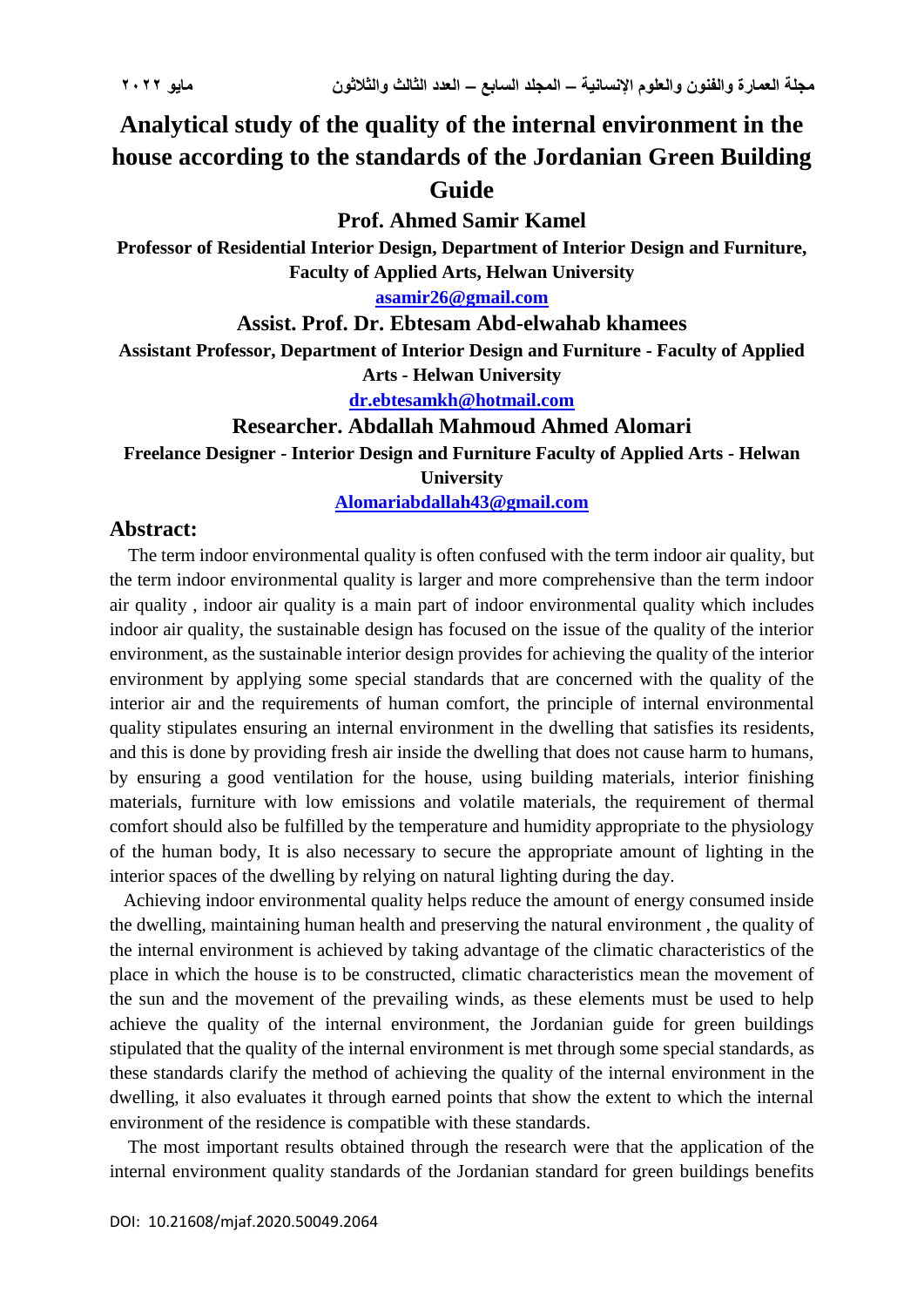## **Analytical study of the quality of the internal environment in the house according to the standards of the Jordanian Green Building Guide**

**Prof. Ahmed Samir Kamel**

**Professor of Residential Interior Design, Department of Interior Design and Furniture, Faculty of Applied Arts, Helwan University**

**[asamir26@gmail.com](mailto:asamir26@gmail.com)**

**Assist. Prof. Dr. Ebtesam Abd-elwahab khamees**

**Assistant Professor, Department of Interior Design and Furniture - Faculty of Applied** 

**Arts - Helwan University**

**[dr.ebtesamkh@hotmail.com](mailto:dr.ebtesamkh@hotmail.com)**

**Researcher. Abdallah Mahmoud Ahmed Alomari**

**Freelance Designer - Interior Design and Furniture Faculty of Applied Arts - Helwan University**

**[Alomariabdallah43@gmail.com](mailto:Alomariabdallah43@gmail.com)**

## **Abstract:**

 The term indoor environmental quality is often confused with the term indoor air quality, but the term indoor environmental quality is larger and more comprehensive than the term indoor air quality , indoor air quality is a main part of indoor environmental quality which includes indoor air quality, the sustainable design has focused on the issue of the quality of the interior environment, as the sustainable interior design provides for achieving the quality of the interior environment by applying some special standards that are concerned with the quality of the interior air and the requirements of human comfort, the principle of internal environmental quality stipulates ensuring an internal environment in the dwelling that satisfies its residents, and this is done by providing fresh air inside the dwelling that does not cause harm to humans, by ensuring a good ventilation for the house, using building materials, interior finishing materials, furniture with low emissions and volatile materials, the requirement of thermal comfort should also be fulfilled by the temperature and humidity appropriate to the physiology of the human body, It is also necessary to secure the appropriate amount of lighting in the interior spaces of the dwelling by relying on natural lighting during the day.

 Achieving indoor environmental quality helps reduce the amount of energy consumed inside the dwelling, maintaining human health and preserving the natural environment , the quality of the internal environment is achieved by taking advantage of the climatic characteristics of the place in which the house is to be constructed, climatic characteristics mean the movement of the sun and the movement of the prevailing winds, as these elements must be used to help achieve the quality of the internal environment, the Jordanian guide for green buildings stipulated that the quality of the internal environment is met through some special standards, as these standards clarify the method of achieving the quality of the internal environment in the dwelling, it also evaluates it through earned points that show the extent to which the internal environment of the residence is compatible with these standards.

 The most important results obtained through the research were that the application of the internal environment quality standards of the Jordanian standard for green buildings benefits